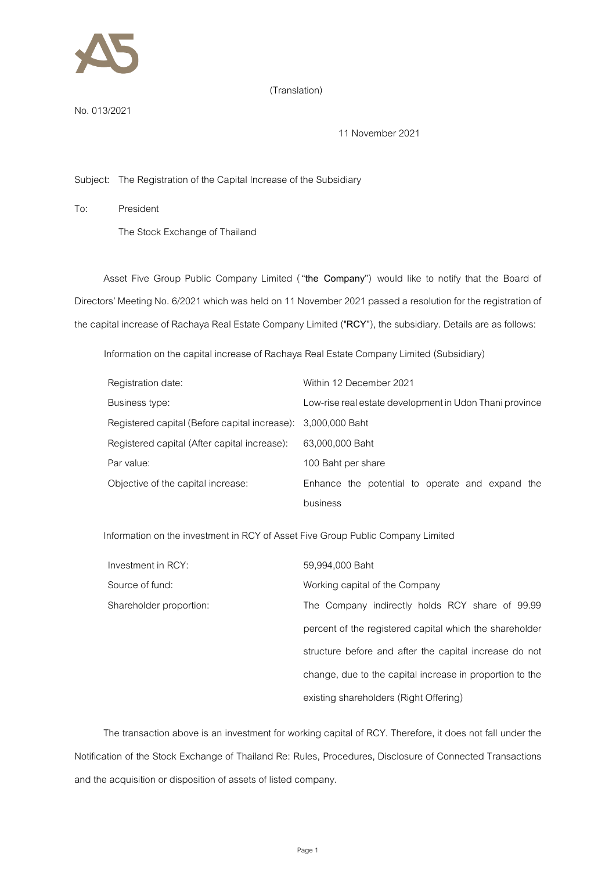

## (Translation)

No.013/2021

11 November 2021

Subject: The Registration of the Capital Increase of the Subsidiary

To: President

The Stock Exchange of Thailand

Asset Five Group Public Company Limited ("**the Company**") would like to notify that the Board of Directors' Meeting No. 6/2021 which was held on 11 November 2021 passed a resolution for the registration of the capital increase of Rachaya Real Estate Company Limited ("**RCY**"), thesubsidiary. Details are as follows:

Information on the capital increase of Rachaya Real Estate Company Limited (Subsidiary)

| Registration date:                                           | Within 12 December 2021                                 |
|--------------------------------------------------------------|---------------------------------------------------------|
| Business type:                                               | Low-rise real estate development in Udon Thani province |
| Registered capital (Before capital increase): 3,000,000 Baht |                                                         |
| Registered capital (After capital increase):                 | 63,000,000 Baht                                         |
| Par value:                                                   | 100 Baht per share                                      |
| Objective of the capital increase:                           | Enhance the potential to operate and expand the         |
|                                                              | business                                                |

Information on the investment in RCY of Asset Five Group Public Company Limited

| Investment in RCY:      | 59,994,000 Baht                                          |
|-------------------------|----------------------------------------------------------|
| Source of fund:         | Working capital of the Company                           |
| Shareholder proportion: | The Company indirectly holds RCY share of 99.99          |
|                         | percent of the registered capital which the shareholder  |
|                         | structure before and after the capital increase do not   |
|                         | change, due to the capital increase in proportion to the |
|                         | existing shareholders (Right Offering)                   |

The transaction above is an investment for working capital of RCY. Therefore, it does not fall under the Notification of the Stock Exchange of Thailand Re: Rules, Procedures, Disclosure of Connected Transactions and the acquisition or disposition of assets of listed company.